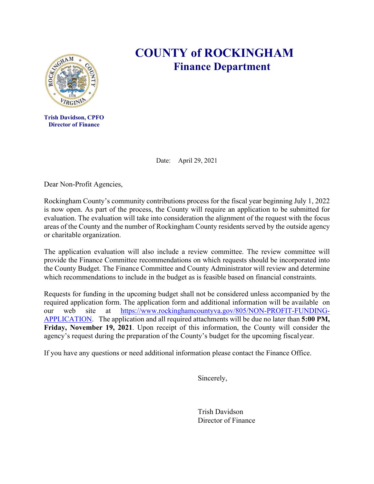

**Trish Davidson, CPFO Director of Finance**

## **COUNTY of ROCKINGHAM Finance Department**

Dear Non-Profit Agencies,

Rockingham County's community contributions process for the fiscal year beginning July 1, 2022 is now open. As part of the process, the County will require an application to be submitted for evaluation. The evaluation will take into consideration the alignment of the request with the focus areas of the County and the number of Rockingham County residents served by the outside agency or charitable organization.

Date: April 29, 2021

The application evaluation will also include a review committee. The review committee will provide the Finance Committee recommendations on which requests should be incorporated into the County Budget. The Finance Committee and County Administrator will review and determine which recommendations to include in the budget as is feasible based on financial constraints.

Requests for funding in the upcoming budget shall not be considered unless accompanied by the required application form. The application form and additional information will be available on our web site at https://www.rockinghamcountyva.gov/805/NON-PROFIT-FUNDING-APPLICATION. The application and all required attachments will be due no later than **5:00 PM, Friday, November 19, 2021**. Upon receipt of this information, the County will consider the agency's request during the preparation of the County's budget for the upcoming fiscal year.

If you have any questions or need additional information please contact the Finance Office.

Sincerely,

Trish Davidson Director of Finance